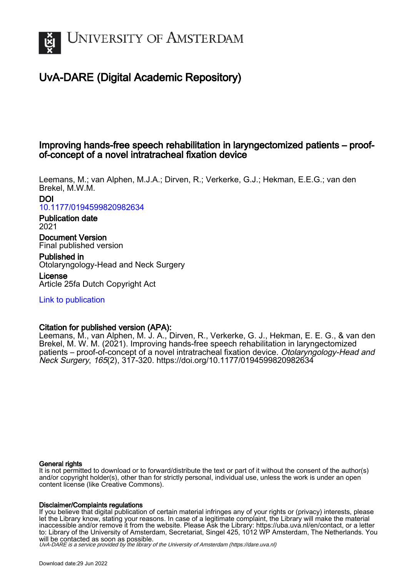

# UvA-DARE (Digital Academic Repository)

# Improving hands-free speech rehabilitation in laryngectomized patients – proofof-concept of a novel intratracheal fixation device

Leemans, M.; van Alphen, M.J.A.; Dirven, R.; Verkerke, G.J.; Hekman, E.E.G.; van den Brekel, M.W.M.

DOI [10.1177/0194599820982634](https://doi.org/10.1177/0194599820982634)

## Publication date 2021

Document Version Final published version

Published in Otolaryngology-Head and Neck Surgery

License Article 25fa Dutch Copyright Act

[Link to publication](https://dare.uva.nl/personal/pure/en/publications/improving-handsfree-speech-rehabilitation-in-laryngectomized-patients--proofofconcept-of-a-novel-intratracheal-fixation-device(e6b38394-848a-4792-8e36-a3fd5e67db4d).html)

## Citation for published version (APA):

Leemans, M., van Alphen, M. J. A., Dirven, R., Verkerke, G. J., Hekman, E. E. G., & van den Brekel, M. W. M. (2021). Improving hands-free speech rehabilitation in laryngectomized patients – proof-of-concept of a novel intratracheal fixation device. Otolaryngology-Head and Neck Surgery, 165(2), 317-320.<https://doi.org/10.1177/0194599820982634>

## General rights

It is not permitted to download or to forward/distribute the text or part of it without the consent of the author(s) and/or copyright holder(s), other than for strictly personal, individual use, unless the work is under an open content license (like Creative Commons).

### Disclaimer/Complaints regulations

If you believe that digital publication of certain material infringes any of your rights or (privacy) interests, please let the Library know, stating your reasons. In case of a legitimate complaint, the Library will make the material inaccessible and/or remove it from the website. Please Ask the Library: https://uba.uva.nl/en/contact, or a letter to: Library of the University of Amsterdam, Secretariat, Singel 425, 1012 WP Amsterdam, The Netherlands. You will be contacted as soon as possible.

UvA-DARE is a service provided by the library of the University of Amsterdam (http*s*://dare.uva.nl)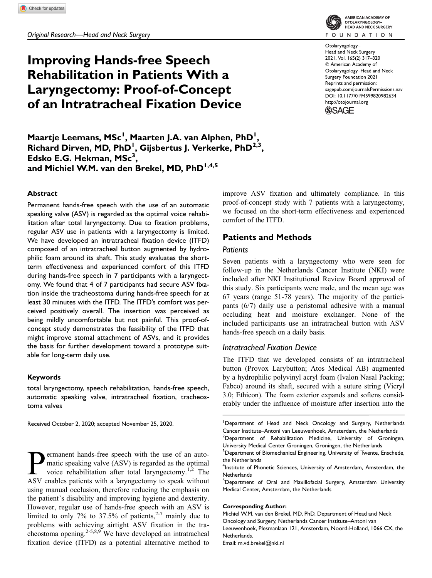Original Research—Head and Neck Surgery

# Improving Hands-free Speech Rehabilitation in Patients With a Laryngectomy: Proof-of-Concept of an Intratracheal Fixation Device

AMERICAN ACADEMY OF OTOLARYNGOLOGY-<br>HEAD AND NECK SURGERY **FOUNDATION** 

Otolaryngology– Head and Neck Surgery 2021, Vol. 165(2) 317–320 © American Academy of Otolaryngology–Head and Neck Surgery Foundation 2021 Reprints and permission: sagepub.com/journalsPermissions.nav DOI: 10.1177/0194599820982634 http://otojournal.org

**SSAGE** 

Maartje Leemans, MSc<sup>1</sup>, Maarten J.A. van Alphen, PhD<sup>1</sup>, Richard Dirven, MD, PhD<sup>1</sup>, Gijsbertus J. Verkerke, PhD<sup>2,3</sup>, Edsko E.G. Hekman,  $MSc^3$ , and Michiel W.M. van den Brekel, MD, PhD<sup>1,4,5</sup>

#### Abstract

Permanent hands-free speech with the use of an automatic speaking valve (ASV) is regarded as the optimal voice rehabilitation after total laryngectomy. Due to fixation problems, regular ASV use in patients with a laryngectomy is limited. We have developed an intratracheal fixation device (ITFD) composed of an intratracheal button augmented by hydrophilic foam around its shaft. This study evaluates the shortterm effectiveness and experienced comfort of this ITFD during hands-free speech in 7 participants with a laryngectomy. We found that 4 of 7 participants had secure ASV fixation inside the tracheostoma during hands-free speech for at least 30 minutes with the ITFD. The ITFD's comfort was perceived positively overall. The insertion was perceived as being mildly uncomfortable but not painful. This proof-ofconcept study demonstrates the feasibility of the ITFD that might improve stomal attachment of ASVs, and it provides the basis for further development toward a prototype suitable for long-term daily use.

#### Keywords

total laryngectomy, speech rehabilitation, hands-free speech, automatic speaking valve, intratracheal fixation, tracheostoma valves

Received October 2, 2020; accepted November 25, 2020.

**Permanent hands-free speech with the use of an auto-**<br>matic speaking valve (ASV) is regarded as the optimal<br>voice rehabilitation after total laryngectomy.<sup>1,2</sup> The<br>ASV enables patients with a laryngectomy to speak without matic speaking valve (ASV) is regarded as the optimal voice rehabilitation after total laryngectomy.<sup>1,2</sup> The ASV enables patients with a laryngectomy to speak without using manual occlusion, therefore reducing the emphasis on the patient's disability and improving hygiene and dexterity. However, regular use of hands-free speech with an ASV is limited to only 7% to 37.5% of patients,  $2-7$  mainly due to problems with achieving airtight ASV fixation in the tracheostoma opening.<sup>2-5,8,9</sup> We have developed an intratracheal fixation device (ITFD) as a potential alternative method to

improve ASV fixation and ultimately compliance. In this proof-of-concept study with 7 patients with a laryngectomy, we focused on the short-term effectiveness and experienced comfort of the ITFD.

### Patients and Methods

#### **Patients**

Seven patients with a laryngectomy who were seen for follow-up in the Netherlands Cancer Institute (NKI) were included after NKI Institutional Review Board approval of this study. Six participants were male, and the mean age was 67 years (range 51-78 years). The majority of the participants (6/7) daily use a peristomal adhesive with a manual occluding heat and moisture exchanger. None of the included participants use an intratracheal button with ASV hands-free speech on a daily basis.

#### Intratracheal Fixation Device

The ITFD that we developed consists of an intratracheal button (Provox Larybutton; Atos Medical AB) augmented by a hydrophilic polyvinyl acryl foam (Ivalon Nasal Packing; Fabco) around its shaft, secured with a suture string (Vicryl 3.0; Ethicon). The foam exterior expands and softens considerably under the influence of moisture after insertion into the

#### Corresponding Author:

Michiel W.M. van den Brekel, MD, PhD, Department of Head and Neck Oncology and Surgery, Netherlands Cancer Institute–Antoni van Leeuwenhoek, Plesmanlaan 121, Amsterdam, Noord-Holland, 1066 CX, the Netherlands. Email: m.vd.brekel@nki.nl

<sup>&</sup>lt;sup>1</sup>Department of Head and Neck Oncology and Surgery, Netherlands Cancer Institute–Antoni van Leeuwenhoek, Amsterdam, the Netherlands  $^{2}$ Department of Rehabilitation Medicine, University of Groningen, University Medical Center Groningen, Groningen, the Netherlands

 $3$ Department of Biomechanical Engineering, University of Twente, Enschede, the Netherlands

<sup>&</sup>lt;sup>4</sup>Institute of Phonetic Sciences, University of Amsterdam, Amsterdam, the **Netherlands** 

<sup>&</sup>lt;sup>5</sup>Department of Oral and Maxillofacial Surgery, Amsterdam University Medical Center, Amsterdam, the Netherlands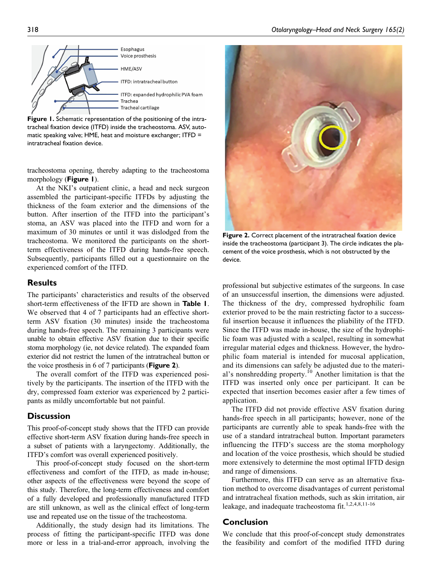

Figure 1. Schematic representation of the positioning of the intratracheal fixation device (ITFD) inside the tracheostoma. ASV, automatic speaking valve; HME, heat and moisture exchanger; ITFD = intratracheal fixation device.

tracheostoma opening, thereby adapting to the tracheostoma morphology (**Figure 1**).

At the NKI's outpatient clinic, a head and neck surgeon assembled the participant-specific ITFDs by adjusting the thickness of the foam exterior and the dimensions of the button. After insertion of the ITFD into the participant's stoma, an ASV was placed into the ITFD and worn for a maximum of 30 minutes or until it was dislodged from the tracheostoma. We monitored the participants on the shortterm effectiveness of the ITFD during hands-free speech. Subsequently, participants filled out a questionnaire on the experienced comfort of the ITFD.

## **Results**

The participants' characteristics and results of the observed short-term effectiveness of the IFTD are shown in Table 1. We observed that 4 of 7 participants had an effective shortterm ASV fixation (30 minutes) inside the tracheostoma during hands-free speech. The remaining 3 participants were unable to obtain effective ASV fixation due to their specific stoma morphology (ie, not device related). The expanded foam exterior did not restrict the lumen of the intratracheal button or the voice prosthesis in 6 of 7 participants (**Figure 2**).

The overall comfort of the ITFD was experienced positively by the participants. The insertion of the ITFD with the dry, compressed foam exterior was experienced by 2 participants as mildly uncomfortable but not painful.

## **Discussion**

This proof-of-concept study shows that the ITFD can provide effective short-term ASV fixation during hands-free speech in a subset of patients with a laryngectomy. Additionally, the ITFD's comfort was overall experienced positively.

This proof-of-concept study focused on the short-term effectiveness and comfort of the ITFD, as made in-house; other aspects of the effectiveness were beyond the scope of this study. Therefore, the long-term effectiveness and comfort of a fully developed and professionally manufactured ITFD are still unknown, as well as the clinical effect of long-term use and repeated use on the tissue of the tracheostoma.

Additionally, the study design had its limitations. The process of fitting the participant-specific ITFD was done more or less in a trial-and-error approach, involving the



Figure 2. Correct placement of the intratracheal fixation device inside the tracheostoma (participant 3). The circle indicates the placement of the voice prosthesis, which is not obstructed by the device.

professional but subjective estimates of the surgeons. In case of an unsuccessful insertion, the dimensions were adjusted. The thickness of the dry, compressed hydrophilic foam exterior proved to be the main restricting factor to a successful insertion because it influences the pliability of the ITFD. Since the ITFD was made in-house, the size of the hydrophilic foam was adjusted with a scalpel, resulting in somewhat irregular material edges and thickness. However, the hydrophilic foam material is intended for mucosal application, and its dimensions can safely be adjusted due to the material's nonshredding property.<sup>10</sup> Another limitation is that the ITFD was inserted only once per participant. It can be expected that insertion becomes easier after a few times of application.

The ITFD did not provide effective ASV fixation during hands-free speech in all participants; however, none of the participants are currently able to speak hands-free with the use of a standard intratracheal button. Important parameters influencing the ITFD's success are the stoma morphology and location of the voice prosthesis, which should be studied more extensively to determine the most optimal IFTD design and range of dimensions.

Furthermore, this ITFD can serve as an alternative fixation method to overcome disadvantages of current peristomal and intratracheal fixation methods, such as skin irritation, air leakage, and inadequate tracheostoma fit.<sup>1,2,4,8,11-16</sup>

## Conclusion

We conclude that this proof-of-concept study demonstrates the feasibility and comfort of the modified ITFD during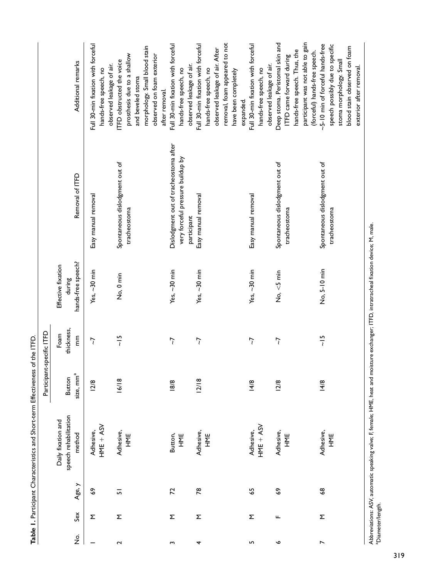|                                       |     |                | Table 1. Participant Characteristics and Short-term Effectiveness of the ITFD. |                                        |                         |                                                    |                                                                                           |                                                                                                                                                                     |
|---------------------------------------|-----|----------------|--------------------------------------------------------------------------------|----------------------------------------|-------------------------|----------------------------------------------------|-------------------------------------------------------------------------------------------|---------------------------------------------------------------------------------------------------------------------------------------------------------------------|
|                                       |     |                |                                                                                | Participant-specific ITFD              |                         |                                                    |                                                                                           |                                                                                                                                                                     |
| $\frac{\dot{\mathsf{S}}}{\mathsf{Z}}$ | Sex | Age, y         | speech rehabilitation<br>Daily fixation and<br>method                          | size, mm <sup>a</sup><br><b>Button</b> | thickness,<br>Foam<br>E | hands-free speech?<br>Effective fixation<br>during | Removal of ITFD                                                                           | Additional remarks                                                                                                                                                  |
|                                       | Σ   | \$             | HME + ASV<br>Adhesive,                                                         | <b>12/8</b>                            | 7                       | Yes, $\sim$ 30 min                                 | Easy manual removal                                                                       | Full 30-min fixation with forceful<br>observed leakage of air.<br>hands-free speech, no                                                                             |
| 2                                     | Σ   | $\overline{5}$ | Adhesive,<br>뿐<br>도                                                            | 16/18                                  | $\frac{15}{1}$          | No, 0 min                                          | Spontaneous dislodgment out of<br>tracheostoma                                            | morphology. Small blood stain<br>prosthesis due to a shallow<br>observed on foam exterior<br>ITFD obstructed the voice<br>and beveled stoma<br>after removal.       |
| $\mathbf{\tilde{z}}$                  | Σ   | 72             | Button,<br>HME                                                                 | 18/8                                   | $\overline{7}$          | Yes, $\sim$ 30 min                                 | Dislodgment out of tracheostoma after<br>very forceful pressure buildup by<br>participant | Full 30-min fixation with forceful<br>observed leakage of air.<br>hands-free speech, no                                                                             |
| 4                                     | Σ   | $\approx$      | Adhesive,<br>HME                                                               | 2/18                                   | $\overline{7}$          | Yes, ~30 min                                       | Easy manual removal                                                                       | removal, foam appeared to not<br>Full 30-min fixation with forceful<br>observed leakage of air. After<br>hands-free speech, no<br>have been completely<br>expanded. |
| LN,                                   | Σ   | 59             | $HME + ASV$<br>Adhesive,                                                       | 14/8                                   | 7                       | Yes, $\sim$ 30 min                                 | Easy manual removal                                                                       | Full 30-min fixation with forceful<br>observed leakage of air.<br>hands-free speech, no                                                                             |
| ç                                     | щ   | \$             | Adhesive,<br>뿐<br>도                                                            | 12/8                                   | 7                       | No, <5 min                                         | Spontaneous dislodgment out of<br>tracheostoma                                            | participant was not able to gain<br>Deep stoma. Peristomal skin and<br>hands-free speech. Thus, the<br>(forceful) hands-free speech.<br>ITFD came forward during    |
| $\overline{ }$                        | Σ   | \$             | Adhesive,<br>当시<br>나                                                           | 14/8                                   | $\frac{15}{1}$          | No, 5-10 min                                       | Spontaneous dislodgment out of<br>tracheostoma                                            | ~5-10 min of forceful hands-free<br>speech possibly due to specific<br>blood stain observed on foam<br>stoma morphology. Small<br>exterior after removal.           |

Abbreviations: ASV, automatic speaking valve; F, female; HME, heat and moisture exchanger; ITFD, intratracheal fixation device; M, male.<br>ªDiameter/length. Abbreviations: ASV, automatic speaking valve; F, female; HME, heat and moisture exchanger; ITFD, intratracheal fixation device; M, male. aDiameter/length.